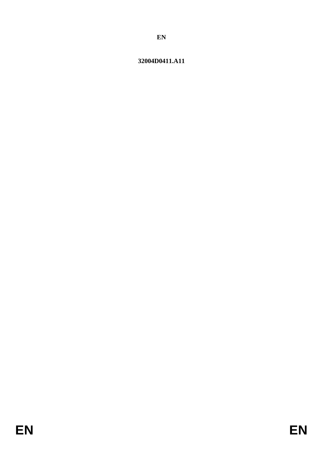# 32004D0411.A11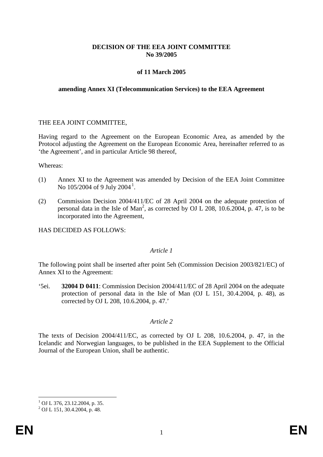## **DECISION OF THE EEA JOINT COMMITTEE No 39/2005**

## **of 11 March 2005**

### **amending Annex XI (Telecommunication Services) to the EEA Agreement**

## THE EEA JOINT COMMITTEE,

Having regard to the Agreement on the European Economic Area, as amended by the Protocol adjusting the Agreement on the European Economic Area, hereinafter referred to as 'the Agreement', and in particular Article 98 thereof,

Whereas:

- (1) Annex XI to the Agreement was amended by Decision of the EEA Joint Committee No [1](#page-1-0)05/2004 of 9 July 2004<sup>1</sup>.
- (2) Commission Decision 2004/411/EC of 28 April 2004 on the adequate protection of personal data in the Isle of Man<sup>2</sup>, as corrected by OJ L 208, 10.6.2004, p. 47, is to be incorporated into the Agreement,

HAS DECIDED AS FOLLOWS:

### *Article 1*

The following point shall be inserted after point 5eh (Commission Decision 2003/821/EC) of Annex XI to the Agreement:

'5ei. **32004 D 0411**: Commission Decision 2004/411/EC of 28 April 2004 on the adequate protection of personal data in the Isle of Man (OJ L 151, 30.4.2004, p. 48), as corrected by OJ L 208, 10.6.2004, p. 47.'

## *Article 2*

The texts of Decision 2004/411/EC, as corrected by OJ L 208, 10.6.2004, p. 47, in the Icelandic and Norwegian languages, to be published in the EEA Supplement to the Official Journal of the European Union, shall be authentic.

<span id="page-1-0"></span><sup>&</sup>lt;sup>1</sup> OJ L 376, 23.12.2004, p. 35.<br><sup>2</sup> OJ L 151, 30.4.2004, p. 48.